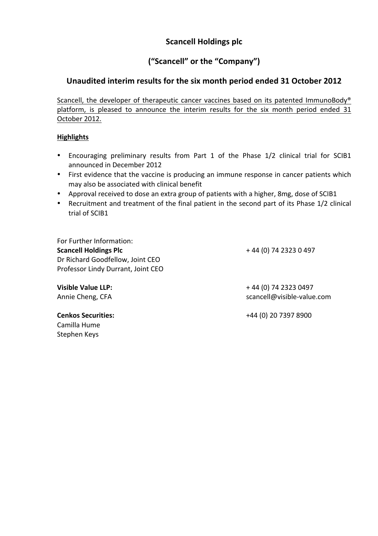# **Scancell Holdings plc**

# **("Scancell" or the "Company")**

# Unaudited interim results for the six month period ended 31 October 2012

Scancell, the developer of therapeutic cancer vaccines based on its patented ImmunoBody<sup>®</sup> platform, is pleased to announce the interim results for the six month period ended 31 October 2012.

## **Highlights**

- Encouraging preliminary results from Part 1 of the Phase 1/2 clinical trial for SCIB1 announced in December 2012
- First evidence that the vaccine is producing an immune response in cancer patients which may also be associated with clinical benefit
- Approval received to dose an extra group of patients with a higher, 8mg, dose of SCIB1
- Recruitment and treatment of the final patient in the second part of its Phase 1/2 clinical trial of SCIB1

For Further Information: **Scancell Holdings Plc** Dr Richard Goodfellow, Joint CEO Professor Lindy Durrant, Joint CEO

+ 44 (0) 74 2323 0 497

+ 44 (0) 74 2323 0497 scancell@visible-value.com

Camilla Hume Stephen Keys

**Visible Value LLP:** Annie Cheng, CFA

**Cenkos Securities:**  $+44$  (0) 20 7397 8900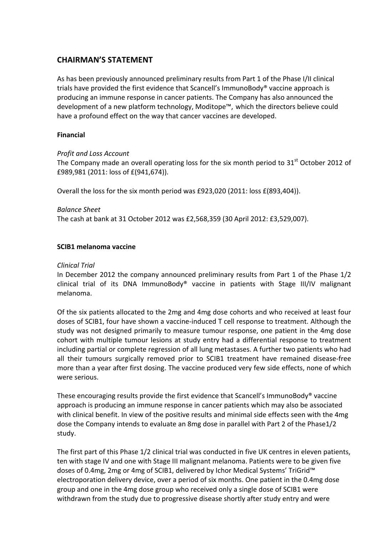# **CHAIRMAN'S STATEMENT**

As has been previously announced preliminary results from Part 1 of the Phase I/II clinical trials have provided the first evidence that Scancell's ImmunoBody® vaccine approach is producing an immune response in cancer patients. The Company has also announced the development of a new platform technology, Moditope™, which the directors believe could have a profound effect on the way that cancer vaccines are developed.

## **Financial**

## **Profit and Loss Account**

The Company made an overall operating loss for the six month period to  $31<sup>st</sup>$  October 2012 of £989,981 (2011: loss of £(941,674)).

Overall the loss for the six month period was  $E923,020$  (2011: loss  $E(893,404)$ ).

*Balance Sheet*

The cash at bank at 31 October 2012 was £2,568,359 (30 April 2012: £3,529,007).

## **SCIB1 melanoma vaccine**

## *Clinical Trial*

In December 2012 the company announced preliminary results from Part 1 of the Phase 1/2 clinical trial of its DNA ImmunoBody® vaccine in patients with Stage III/IV malignant melanoma. 

Of the six patients allocated to the 2mg and 4mg dose cohorts and who received at least four doses of SCIB1, four have shown a vaccine-induced T cell response to treatment. Although the study was not designed primarily to measure tumour response, one patient in the 4mg dose cohort with multiple tumour lesions at study entry had a differential response to treatment including partial or complete regression of all lung metastases. A further two patients who had all their tumours surgically removed prior to SCIB1 treatment have remained disease-free more than a year after first dosing. The vaccine produced very few side effects, none of which were serious.

These encouraging results provide the first evidence that Scancell's ImmunoBody<sup>®</sup> vaccine approach is producing an immune response in cancer patients which may also be associated with clinical benefit. In view of the positive results and minimal side effects seen with the 4mg dose the Company intends to evaluate an 8mg dose in parallel with Part 2 of the Phase1/2 study.

The first part of this Phase 1/2 clinical trial was conducted in five UK centres in eleven patients, ten with stage IV and one with Stage III malignant melanoma. Patients were to be given five doses of 0.4mg, 2mg or 4mg of SCIB1, delivered by Ichor Medical Systems' TriGrid™ electroporation delivery device, over a period of six months. One patient in the 0.4mg dose group and one in the 4mg dose group who received only a single dose of SCIB1 were withdrawn from the study due to progressive disease shortly after study entry and were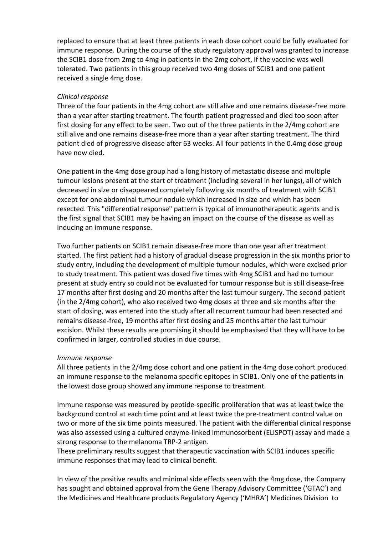replaced to ensure that at least three patients in each dose cohort could be fully evaluated for immune response. During the course of the study regulatory approval was granted to increase the SCIB1 dose from 2mg to 4mg in patients in the 2mg cohort, if the vaccine was well tolerated. Two patients in this group received two 4mg doses of SCIB1 and one patient received a single 4mg dose.

#### *Clinical response*

Three of the four patients in the 4mg cohort are still alive and one remains disease-free more than a vear after starting treatment. The fourth patient progressed and died too soon after first dosing for any effect to be seen. Two out of the three patients in the 2/4mg cohort are still alive and one remains disease-free more than a year after starting treatment. The third patient died of progressive disease after 63 weeks. All four patients in the 0.4mg dose group have now died. 

One patient in the 4mg dose group had a long history of metastatic disease and multiple tumour lesions present at the start of treatment (including several in her lungs), all of which decreased in size or disappeared completely following six months of treatment with SCIB1 except for one abdominal tumour nodule which increased in size and which has been resected. This "differential response" pattern is typical of immunotherapeutic agents and is the first signal that SCIB1 may be having an impact on the course of the disease as well as inducing an immune response.

Two further patients on SCIB1 remain disease-free more than one year after treatment started. The first patient had a history of gradual disease progression in the six months prior to study entry, including the development of multiple tumour nodules, which were excised prior to study treatment. This patient was dosed five times with 4mg SCIB1 and had no tumour present at study entry so could not be evaluated for tumour response but is still disease-free 17 months after first dosing and 20 months after the last tumour surgery. The second patient (in the 2/4mg cohort), who also received two 4mg doses at three and six months after the start of dosing, was entered into the study after all recurrent tumour had been resected and remains disease-free, 19 months after first dosing and 25 months after the last tumour excision. Whilst these results are promising it should be emphasised that they will have to be confirmed in larger, controlled studies in due course.

#### *Immune* response

All three patients in the 2/4mg dose cohort and one patient in the 4mg dose cohort produced an immune response to the melanoma specific epitopes in SCIB1. Only one of the patients in the lowest dose group showed any immune response to treatment.

Immune response was measured by peptide-specific proliferation that was at least twice the background control at each time point and at least twice the pre-treatment control value on two or more of the six time points measured. The patient with the differential clinical response was also assessed using a cultured enzyme-linked immunosorbent (ELISPOT) assay and made a strong response to the melanoma TRP-2 antigen.

These preliminary results suggest that therapeutic vaccination with SCIB1 induces specific immune responses that may lead to clinical benefit.

In view of the positive results and minimal side effects seen with the 4mg dose, the Company has sought and obtained approval from the Gene Therapy Advisory Committee ('GTAC') and the Medicines and Healthcare products Regulatory Agency ('MHRA') Medicines Division to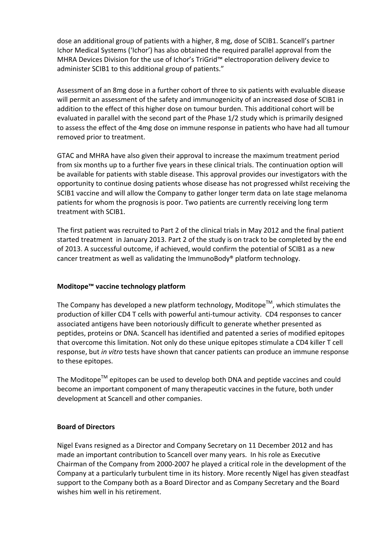dose an additional group of patients with a higher, 8 mg, dose of SCIB1. Scancell's partner Ichor Medical Systems ('Ichor') has also obtained the required parallel approval from the MHRA Devices Division for the use of Ichor's TriGrid™ electroporation delivery device to administer SCIB1 to this additional group of patients."

Assessment of an 8mg dose in a further cohort of three to six patients with evaluable disease will permit an assessment of the safety and immunogenicity of an increased dose of SCIB1 in addition to the effect of this higher dose on tumour burden. This additional cohort will be evaluated in parallel with the second part of the Phase 1/2 study which is primarily designed to assess the effect of the 4mg dose on immune response in patients who have had all tumour removed prior to treatment.

GTAC and MHRA have also given their approval to increase the maximum treatment period from six months up to a further five years in these clinical trials. The continuation option will be available for patients with stable disease. This approval provides our investigators with the opportunity to continue dosing patients whose disease has not progressed whilst receiving the SCIB1 vaccine and will allow the Company to gather longer term data on late stage melanoma patients for whom the prognosis is poor. Two patients are currently receiving long term treatment with SCIB1.

The first patient was recruited to Part 2 of the clinical trials in May 2012 and the final patient started treatment in January 2013. Part 2 of the study is on track to be completed by the end of 2013. A successful outcome, if achieved, would confirm the potential of SCIB1 as a new cancer treatment as well as validating the ImmunoBody® platform technology.

## **Moditope™** vaccine technology platform

The Company has developed a new platform technology, Moditope<sup>TM</sup>, which stimulates the production of killer CD4 T cells with powerful anti-tumour activity. CD4 responses to cancer associated antigens have been notoriously difficult to generate whether presented as peptides, proteins or DNA. Scancell has identified and patented a series of modified epitopes that overcome this limitation. Not only do these unique epitopes stimulate a CD4 killer T cell response, but *in vitro* tests have shown that cancer patients can produce an immune response to these epitopes.

The Moditope<sup>TM</sup> epitopes can be used to develop both DNA and peptide vaccines and could become an important component of many therapeutic vaccines in the future, both under development at Scancell and other companies.

#### **Board of Directors**

Nigel Evans resigned as a Director and Company Secretary on 11 December 2012 and has made an important contribution to Scancell over many years. In his role as Executive Chairman of the Company from 2000-2007 he played a critical role in the development of the Company at a particularly turbulent time in its history. More recently Nigel has given steadfast support to the Company both as a Board Director and as Company Secretary and the Board wishes him well in his retirement.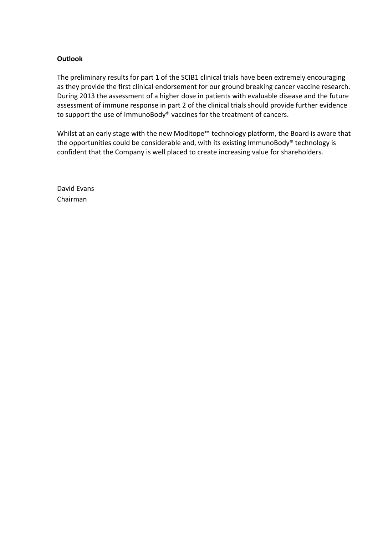### **Outlook**

The preliminary results for part 1 of the SCIB1 clinical trials have been extremely encouraging as they provide the first clinical endorsement for our ground breaking cancer vaccine research. During 2013 the assessment of a higher dose in patients with evaluable disease and the future assessment of immune response in part 2 of the clinical trials should provide further evidence to support the use of ImmunoBody® vaccines for the treatment of cancers.

Whilst at an early stage with the new Moditope™ technology platform, the Board is aware that the opportunities could be considerable and, with its existing  $ImmunoBody<sup>®</sup>$  technology is confident that the Company is well placed to create increasing value for shareholders.

David Fyans Chairman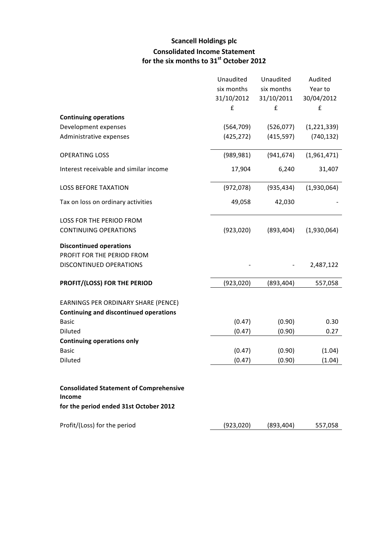# **Scancell Holdings plc Consolidated Income Statement for the six months to 31st October 2012**

|                                                | Unaudited  | Unaudited  | Audited     |
|------------------------------------------------|------------|------------|-------------|
|                                                | six months | six months | Year to     |
|                                                | 31/10/2012 | 31/10/2011 | 30/04/2012  |
|                                                | £          | £          | £           |
| <b>Continuing operations</b>                   |            |            |             |
| Development expenses                           | (564, 709) | (526, 077) | (1,221,339) |
| Administrative expenses                        | (425, 272) | (415, 597) | (740, 132)  |
|                                                |            |            |             |
| <b>OPERATING LOSS</b>                          | (989, 981) | (941, 674) | (1,961,471) |
| Interest receivable and similar income         | 17,904     | 6,240      | 31,407      |
|                                                |            |            |             |
| <b>LOSS BEFORE TAXATION</b>                    | (972, 078) | (935, 434) | (1,930,064) |
| Tax on loss on ordinary activities             | 49,058     | 42,030     |             |
| LOSS FOR THE PERIOD FROM                       |            |            |             |
| <b>CONTINUING OPERATIONS</b>                   | (923, 020) | (893, 404) | (1,930,064) |
| <b>Discontinued operations</b>                 |            |            |             |
| PROFIT FOR THE PERIOD FROM                     |            |            |             |
| DISCONTINUED OPERATIONS                        |            |            | 2,487,122   |
| PROFIT/(LOSS) FOR THE PERIOD                   | (923, 020) | (893, 404) | 557,058     |
| EARNINGS PER ORDINARY SHARE (PENCE)            |            |            |             |
| <b>Continuing and discontinued operations</b>  |            |            |             |
| <b>Basic</b>                                   | (0.47)     | (0.90)     | 0.30        |
| Diluted                                        | (0.47)     | (0.90)     | 0.27        |
| <b>Continuing operations only</b>              |            |            |             |
| <b>Basic</b>                                   | (0.47)     | (0.90)     | (1.04)      |
| Diluted                                        | (0.47)     | (0.90)     | (1.04)      |
|                                                |            |            |             |
| <b>Consolidated Statement of Comprehensive</b> |            |            |             |
| Income                                         |            |            |             |
| for the period ended 31st October 2012         |            |            |             |
| Profit/(Loss) for the period                   | (923, 020) | (893, 404) | 557,058     |
|                                                |            |            |             |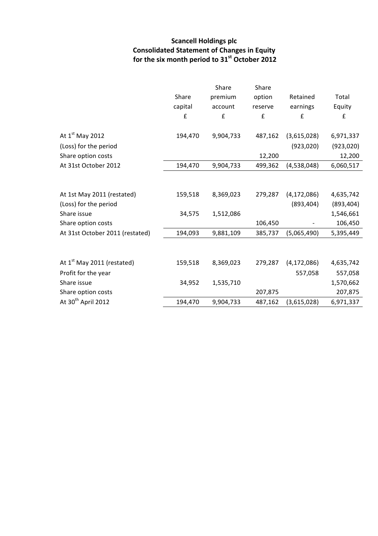# **Scancell Holdings plc Consolidated Statement of Changes in Equity for the six month period to 31st October 2012**

|                                        |         | Share     | Share   |               |            |
|----------------------------------------|---------|-----------|---------|---------------|------------|
|                                        | Share   | premium   | option  | Retained      | Total      |
|                                        | capital | account   | reserve | earnings      | Equity     |
|                                        | £       | £         | £       | £             | £          |
| At 1 <sup>st</sup> May 2012            | 194,470 | 9,904,733 | 487,162 | (3,615,028)   | 6,971,337  |
| (Loss) for the period                  |         |           |         | (923, 020)    | (923, 020) |
| Share option costs                     |         |           | 12,200  |               | 12,200     |
| At 31st October 2012                   | 194,470 | 9,904,733 | 499,362 | (4,538,048)   | 6,060,517  |
|                                        |         |           |         |               |            |
| At 1st May 2011 (restated)             | 159,518 | 8,369,023 | 279,287 | (4, 172, 086) | 4,635,742  |
| (Loss) for the period                  |         |           |         | (893, 404)    | (893, 404) |
| Share issue                            | 34,575  | 1,512,086 |         |               | 1,546,661  |
| Share option costs                     |         |           | 106,450 |               | 106,450    |
| At 31st October 2011 (restated)        | 194,093 | 9,881,109 | 385,737 | (5,065,490)   | 5,395,449  |
|                                        |         |           |         |               |            |
| At 1 <sup>st</sup> May 2011 (restated) | 159,518 | 8,369,023 | 279,287 | (4, 172, 086) | 4,635,742  |
| Profit for the year                    |         |           |         | 557,058       | 557,058    |
| Share issue                            | 34,952  | 1,535,710 |         |               | 1,570,662  |
| Share option costs                     |         |           | 207,875 |               | 207,875    |
| At 30 <sup>th</sup> April 2012         | 194,470 | 9,904,733 | 487,162 | (3,615,028)   | 6,971,337  |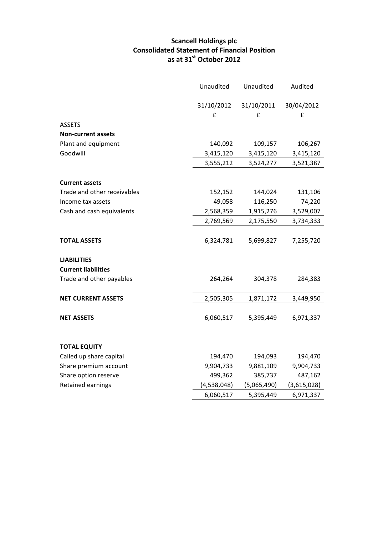## **Scancell Holdings plc Consolidated Statement of Financial Position as at 31st October 2012**

|                             | Unaudited   | Unaudited   |             |
|-----------------------------|-------------|-------------|-------------|
|                             | 31/10/2012  | 31/10/2011  | 30/04/2012  |
|                             | £           | £           | £           |
| <b>ASSETS</b>               |             |             |             |
| <b>Non-current assets</b>   |             |             |             |
| Plant and equipment         | 140,092     | 109,157     | 106,267     |
| Goodwill                    | 3,415,120   | 3,415,120   | 3,415,120   |
|                             | 3,555,212   | 3,524,277   | 3,521,387   |
| <b>Current assets</b>       |             |             |             |
| Trade and other receivables | 152,152     | 144,024     | 131,106     |
| Income tax assets           | 49,058      | 116,250     | 74,220      |
| Cash and cash equivalents   | 2,568,359   | 1,915,276   | 3,529,007   |
|                             | 2,769,569   | 2,175,550   | 3,734,333   |
| <b>TOTAL ASSETS</b>         | 6,324,781   | 5,699,827   | 7,255,720   |
| <b>LIABILITIES</b>          |             |             |             |
| <b>Current liabilities</b>  |             |             |             |
| Trade and other payables    | 264,264     | 304,378     | 284,383     |
| <b>NET CURRENT ASSETS</b>   | 2,505,305   | 1,871,172   | 3,449,950   |
| <b>NET ASSETS</b>           | 6,060,517   | 5,395,449   | 6,971,337   |
| <b>TOTAL EQUITY</b>         |             |             |             |
| Called up share capital     | 194,470     | 194,093     | 194,470     |
| Share premium account       | 9,904,733   | 9,881,109   | 9,904,733   |
| Share option reserve        | 499,362     | 385,737     | 487,162     |
| Retained earnings           | (4,538,048) | (5,065,490) | (3,615,028) |
|                             | 6,060,517   | 5,395,449   | 6,971,337   |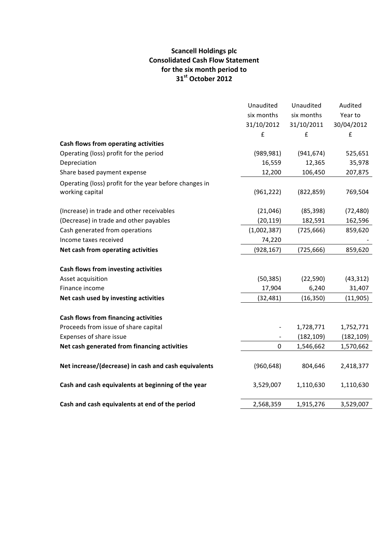## **Scancell Holdings plc Consolidated Cash Flow Statement** for the six month period to **31st October 2012**

|                                                        | Unaudited   | Unaudited  | Audited    |
|--------------------------------------------------------|-------------|------------|------------|
|                                                        | six months  | six months | Year to    |
|                                                        | 31/10/2012  | 31/10/2011 | 30/04/2012 |
|                                                        | £           | £          | £          |
| Cash flows from operating activities                   |             |            |            |
| Operating (loss) profit for the period                 | (989, 981)  | (941, 674) | 525,651    |
| Depreciation                                           | 16,559      | 12,365     | 35,978     |
| Share based payment expense                            | 12,200      | 106,450    | 207,875    |
| Operating (loss) profit for the year before changes in |             |            |            |
| working capital                                        | (961, 222)  | (822, 859) | 769,504    |
| (Increase) in trade and other receivables              | (21, 046)   | (85, 398)  | (72, 480)  |
| (Decrease) in trade and other payables                 | (20, 119)   | 182,591    | 162,596    |
| Cash generated from operations                         | (1,002,387) | (725, 666) | 859,620    |
| Income taxes received                                  | 74,220      |            |            |
| Net cash from operating activities                     | (928, 167)  | (725, 666) | 859,620    |
| Cash flows from investing activities                   |             |            |            |
| Asset acquisition                                      | (50, 385)   | (22, 590)  | (43, 312)  |
| Finance income                                         | 17,904      | 6,240      | 31,407     |
| Net cash used by investing activities                  | (32, 481)   | (16, 350)  | (11, 905)  |
| <b>Cash flows from financing activities</b>            |             |            |            |
| Proceeds from issue of share capital                   |             | 1,728,771  | 1,752,771  |
| Expenses of share issue                                |             | (182, 109) | (182, 109) |
| Net cash generated from financing activities           | $\pmb{0}$   | 1,546,662  | 1,570,662  |
| Net increase/(decrease) in cash and cash equivalents   | (960, 648)  | 804,646    | 2,418,377  |
| Cash and cash equivalents at beginning of the year     | 3,529,007   | 1,110,630  | 1,110,630  |
| Cash and cash equivalents at end of the period         | 2,568,359   | 1,915,276  | 3,529,007  |